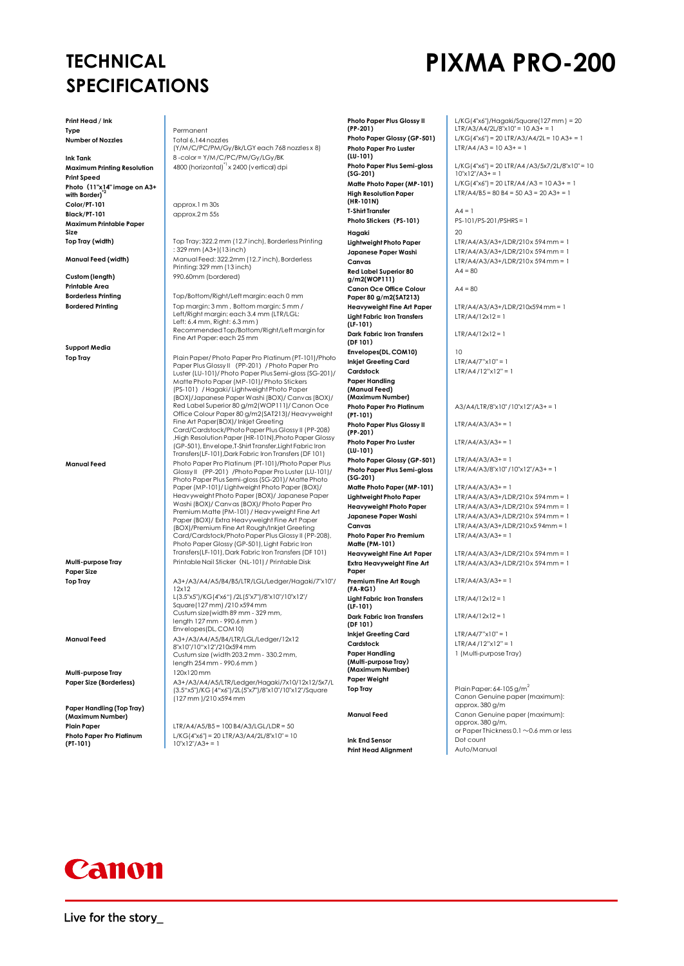## **TECHNICAL SPECIFICATIONS**

**Print Head / Ink Type** Permanent

**Print Speed Photo(11"x14" image on A3+ with Border**) **Color/PT-101** approx.1 m 30s **Black/PT-101** approx.2 m 55s **Maximum Printable Paper Size**

**Printable Area**

**Support Media**

**Paper Size**

**Multi-purpose Tray** 

**Paper Handling (Top Tray) (Maximum Number) Photo Paper Pro Platinum (PT-101)**

**Number of Nozzles** Total 6,144 nozzles (Y/M/C/PC/PM/Gy/Bk/LGY each 768 nozzles x 8) **Ink Tank 18 -color = Y/M/C/PC/PM/Gy/LGy/BK**<br>**Maximum Printing Resolution** 4800 (horizontal)<sup>-1</sup> x 2400 (vertical) dp 4800 (horizontal)<sup>\*1</sup> x 2400 (vertical) dpi

**Top Tray (width)** Top Tray: 322.2 mm (12.7 inch), Borderless Printing : 329 mm (A3+)(13 inch) **Manual Feed (width)** Manual Feed: 322.2mm (12.7 inch), Borderless Printing: 329 mm (13 inch) **Custom (length)** 990.60mm (bordered)

**Borderless Printing** Top/Bottom/Right/Left margin: each 0 mm<br>**Bordered Printing** Top margin: 3 mm , Bottom margin: 5 mm / Top margin: 3 mm, Bottom margin: 5 mm / Left/Right margin: each 3.4 mm (LTR/LGL: Left: 6.4 mm, Right: 6.3 mm ) Recommended Top/Bottom/Right/Left margin for Fine Art Paper: each 25 mm

Plain Paper/ Photo Paper Pro Platinum (PT-101)/ Photo Paper Pro Platinum (PT-101)<br>Paper Plus Glossy II (PP-201)<br>Luster (LU-101)/ Photo Paper Plus Semi-gloss (SG-201) / Matte Photo Paper (MP-101)/ Photo Stickers (PS-101)/ Hagaki/ Lightweight Photo Paper (BOX)/Japanese Paper Washi (BOX)/ Canvas (BOX)/ Red Label Superior 80 g/m2(WOP111)/ Canon Oce Office Colour Paper 80 g/m2(SAT213)/ Heavyweight Fine Art Paper(BOX)/ Inkjet Greeting Card/Cardstock/Photo Paper Plus Glossy II (PP-208) ,High Resolution Paper (HR-101N),Photo Paper Glossy (GP-501), Envelope,T-Shirt Transfer,Light Fabric Iron Transfers(LF-101),Dark Fabric Iron Transfers (DF 101) **Manual Feed** Photo Paper Pro Platinum (PT-101)/Photo Paper Plus Glossy II (PP-201)/Photo Paper Pro Luster (LU-101)/ Photo Paper Plus Semi-gloss (SG-201)/ Matte Photo Paper (MP-101)/ Lightweight Photo Paper (BOX)/ Heavyweight Photo Paper (BOX)/ Japanese Paper Washi (BOX)/ Canvas (BOX)/ Photo Paper Pro Premium Matte (PM-101) / Heavyweight Fine Art Paper (BOX)/ Extra Heavyweight Fine Art Paper (BOX)/Premium Fine Art Rough/Inkjet Greeting Card/Cardstock/Photo Paper Plus Glossy II (PP-208), Photo Paper Glossy (GP-501), Light Fabric Iron Transfers(LF-101), Dark Fabric Iron Transfers (DF 101) **Multi-purpose Tray** Printable Nail Sticker(NL-101) / Printable Disk

**Top Tray** A3+/A3/A4/A5/B4/B5/LTR/LGL/Ledger/Hagaki/7"x10"/ 12x12 L(3.5"x5")/KG(4"x6") /2L(5"x7")/8"x10"/10"x12"/ Square(127 mm) /210 x594 mm Custum size(width 89 mm - 329 mm, length 127 mm - 990.6 mm ) Envelopes(DL, COM10) **Manual Feed**  $\begin{vmatrix} A3+/A3/A4/A5/B4/LTR/LGL/Ledger/12x12 \end{vmatrix}$ 8"x10"/10"x12"/210x594 mm Custum size (width 203.2 mm - 330.2 mm, length 254 mm - 990.6 mm )

**Paper Size (Borderless)** A3+/A3/A4/A5/LTR/Ledger/Hagaki/7x10/12x12/5x7/L (3.5"x5")/KG (4"x6")/2L(5"x7")/8"x10"/10"x12"/Square (127 mm )/210 x594 mm

**Plain Paper** LTR/A4/A5/B5 = 100 B4/A3/LGL/LDR = 50 L/KG(4"x6") = 20 LTR/A3/A4/2L/8"x10" = 10  $10"x12"7A3+1=1$ 

**Photo Paper Plus Glossy II (PP-201) Photo Paper Pro Luster (LU-101) Photo Paper Plus Semi-gloss**  (SG-201)<br>Matte Photo Paper (MP-101) **High Resolution Paper (HR-101N) T-Shirt Transfer**  $A_4 = 1$ **Photo Stickers(PS-101)** PS-101/PS-201/PSHRS = 1 **Hagaki** 20 **Red Label Superior 80 g/m2(WOP111) Canon Oce Office Colour Paper 80 g/m2(SAT213) Light Fabric Iron Transfers (LF-101) Dark Fabric Iron Transfers (DF 101) Envelopes(DL, COM10)** 10 **Inkjet Greeting Card** LTR/A4/7"x10" = 1 **Cardstock** LTR/A4 /12"x12" = 1 **Paper Handling (Manual Feed) (Maximum Number) Photo Paper Pro Platinum (PT-101) Photo Paper Plus Glossy II (PP-201) Photo Paper Pro Luster (LU-101) Photo Paper Glossy (GP-501)** LTR/A4/A3/A3+= 1 **Photo Paper Plus Semi-gloss (SG-201) Matte Photo Paper (MP-101)** LTR/A4/A3/A3+ = 1 **Photo Paper Pro Premium Matte (PM-101) Extra Heavyweight Fine Art Paper Premium Fine Art Rough (FA-RG1) Light Fabric Iron Transfers (LF-101) Dark Fabric Iron Transfers (DF 101) Inkjet Greeting Card** LTR/A4/7"x10" = 1 **Cardstock** LTR/A4 /12"x12" = 1 **Paper Handling (Multi-purpose Tray) (Maximum Number)**

**Paper Weight**

**Ink End Sensor Dot count**<br> **Print Head Alianment** Auto/Manua **Print Head Alianment** 

L/KG(4"x6")/Hagaki/Square(127 mm ) = 20 LTR/A3/A4/2L/8"x10" = 10 A3+ = 1 **Photo Paper Glossy (GP-501)** L/KG(4"x6") = 20 LTR/A3/A4/2L = 10 A3+ = 1  $ITR/A4/A3 = 10 A3 + 1$ 

 $L/KG(4"x6" = 201TR/A4/A3/5x7/2L/8"x10" = 10$  $10''x12''/A3+=1$ **Matte Photo Paper (MP-101)** L/KG(4"x6") = 20 LTR/A4 /A3 = 10 A3+ = 1 LTR/A4/B5 =  $80 B4 = 50 A3 = 20 A3 + 1$ 

**Lightweight Photo Paper** LTR/A4/A3/A3+/LDR/210x 594 mm = 1 **Japanese Paper Washi** LTR/A4/A3/A3+/LDR/210x 594 mm = 1 **Canvas** LTR/A4/A3/A3+/LDR/210x 594 mm = 1  $AA = 80$ 

 $AA = 80$ 

**Heavyweight Fine Art Paper** LTR/A4/A3/A3+/LDR/210x594 mm = 1  $LTR/A4/12x12 = 1$ 

 $ITR/A4/12x12 = 1$ 

A3/A4/LTR/8"x10" /10"x12"/A3+ = 1

 $ITR/A4/A3/A3 += 1$ 

 $LTR/A4/A3/A3 += 1$ 

LTR/A4/A3/8"x10" /10"x12"/A3+ = 1

**Lightweight Photo Paper** LTR/A4/A3/A3+/LDR/210x 594 mm = 1<br> **Heavyweight Photo Paper** LTR/A4/A3/A3+/LDR/210x 594 mm = 1 **Heavyweight Photo Paper** LTR/A4/A3/A3+/LDR/210 x 594 mm = 1 **Japanese Paper Washi** LTR/A4/A3/A3+/LDR/210x 594 mm = 1 **Canvas** LTR/A4/A3/A3+/LDR/210x5 94mm = 1  $LTR/A4/A3/A3 += 1$ 

> **Heavyweight Fine Art Paper** LTR/A4/A3/A3+/LDR/210 x 594 mm = 1  $LTR/A4/A3/A3+/LDR/210 \times 594$  mm = 1

 $LTR/A4/A3/A3 += 1$ 

 $LTR/A4/12x12 = 1$ 

 $ITR/A4/12x12 = 1$ 

1 (Multi-purpose Tray)

**Top Tray Plain Paper: 64-105 g/m<sup>2</sup>** Canon Genuine paper (maximum): approx. 380 g/m **Manual Feed** Canon Genuine paper (maximum): approx. 380 g/m, or Paper Thickness 0.1 ~0.6 mm or less



# **PIXMA PRO-200**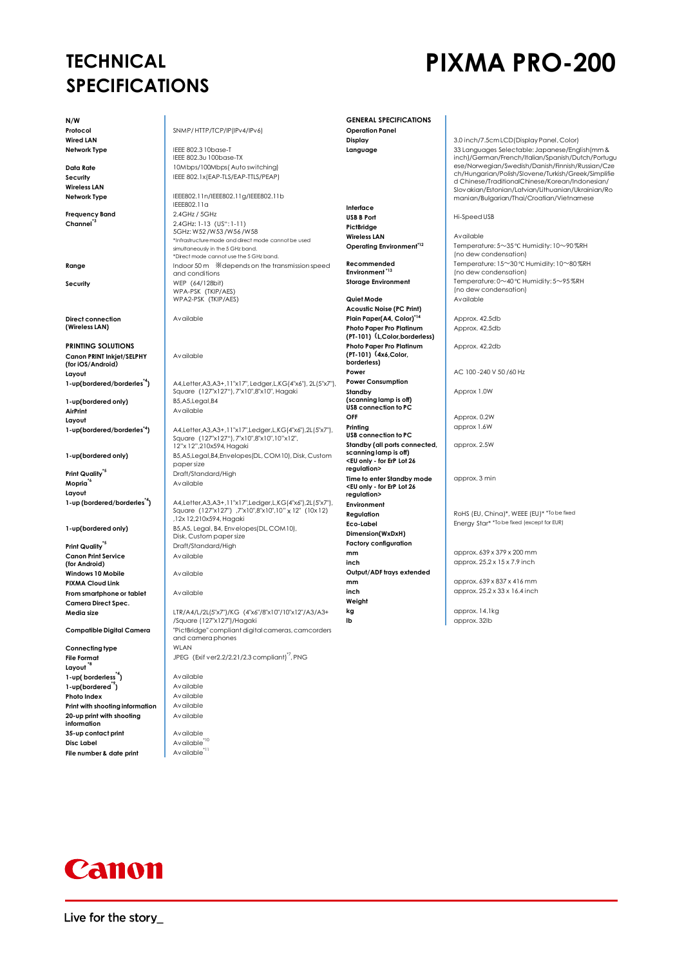### **TECHNICAL SPECIFICATIONS**

## **PIXMA PRO-200**

**N/W Wired LAN**

**Wireless LAN**

**Frequency Band** 2.4GHz / 5GHz

**Direct connection (Wireless LAN)**

**PRINTING SOLUTIONS Canon PRINT Inkjet/SELPHY (for iOS/Android)** Layout<br>1-up(bordered/borderles<sup>\*4</sup>)

1-up(bordered only) **AirPrint** Available **Layout**

**Print Quality<sup>\*5</sup> Draft/Standard/High Mopria<sup>\*6</sup> Available Layout**

**Print Quality<sup>\*5</sup>** Draft/Standard/High **Canon Print Service (for Android) Windows 10 Mobile Available PIXMA Cloud Link From smartphone or tablet** Available **Camera Direct Spec.**

**Connecting type Layout \*8 1-up(borderless<sup>\*4</sup>)** Available<br> **1-up(bordered<sup>\*9</sup>)** Available **1-up(bordered<sup>\*9</sup>)** Available<br> **Photo Index** Available **Photo Index Print with shooting information Available 20-up print with shooting information 35-up contact print** Available **Disc Label Available File number & date print** Available

**Protocol** SNMP/ HTTP/TCP/IP(IPv4/IPv6)

**Network Type IEEE 802.3 10base-T** IEEE 802.3u 100base-TX **Data Rate** 10Mbps/100Mbps( Auto switching) **Security** IEEE 802.1x(EAP-TLS/EAP-TTLS/PEAP)

**Network Type** IEEE802.11n/IEEE802.11g/IEEE802.11b IEEE802.11a **Channel\*3** 2.4GHz: 1-13(US": 1-11) 5GHz: W52 /W53 /W56 /W58 \*Infrastructure mode and direct mode cannot be used simultaneously in the 5 GHz band. \*Direct mode cannot use the 5 GHz band. **Range Range Indoor 50 m**  $\frac{1}{2}$  **Indoor 50 m**  $\frac{1}{2}$  **Range Range Indoor 50 m**  $\frac{1}{2}$  **Range Independs on the transmission speed** and conditions **Security** WEP (64/128bit) WPA-PSK(TKIP/AES) WPA2-PSK(TKIP/AES)

Available

Available

**1-up(bordered/borderles\*4)** A4,Letter,A3,A3+,11"x17", Ledger,L,KG(4"x6"), 2L(5"x7"), Square (127"x127"), 7"x10",8"x10", Hagaki<br>B5,A5,Legal,B4

**1-up(bordered/borderles\*4)** A4,Letter,A3,A3+,11"x17",Ledger,L,KG(4"x6"),2L(5"x7"), Square(127"x127"), 7"x10",8"x10",10"x12", 12"x 12",210x594, Hagaki **1-up(bordered only)** B5,A5,Legal,B4,Envelopes(DL, COM10), Disk, Custom paper size

**1-up (bordered/borderles\*4)** A4,Letter,A3,A3+,11"x17",Ledger,L,KG(4"x6"),2L(5"x7"), Square (127"x127") ,7"x10",8"x10",10" x 12" (10x 12)<br>,12x 12,210x594, Hagaki **1-up(bordered only)** B5,A5, Legal, B4, Envelopes(DL, COM10), Disk, Custom paper size Available

Available

**Mopria\*6** Available

**Media size** LTR/A4/L/2L(5"x7")/KG (4"x6"/8"x10"/10"x12"/A3/A3+ /Square (127"x127")/Hagaki **Compatible Digital Camera** "PictBridge" compliant digital cameras, camcorders and camera phones **File Format JPEG** (Exif ver2.2/2.21/2.3 compliant)<sup>\*7</sup>, PNG

**GENERAL SPECIFICATIONS Operation Panel**

**Interface PictBridge Wireless LAN** Available<br> **Operating Environment**<sup>\*12</sup> Temperat

**Recommended Environment \*13**

**Acoustic Noise (PC Print) Plain Paper(A4, Color)\*14** Approx. 42.5db **Photo Paper Pro Platinum (PT-101)(L,Color,borderless) Photo Paper Pro Platinum (PT-101)(4x6,Color, borderless) Power** AC 100 -240 V 50 /60 Hz **Power Consumption Standby (scanning lamp is off) USB connection to PC OFF** Approx. 0.2W **Printing USB connection to PC Standby (all ports connected, scanning lamp is off) <EU only - for ErP Lot 26 regulation> Time to enter Standby mode <EU only - for ErP Lot 26 regulation> Environment Dimension(WxDxH) Factory configuration mm** approx. 639 x 379 x 200 mm **inch approx.** 25.2 x 15 x 7.9 inch **Output/ADF trays extended mm approx.** 639 x 837 x 416 mm **inch** approx. 25.2 x 33 x 16.4 inch **Weight kg** approx. 14.1kg

**Display** 3.0 inch/7.5cm LCD(Display Panel, Color) **Language** 33 Languages Selectable: Japanese/English(mm & inch)/German/French/Italian/Spanish/Dutch/Portugu ese/Norwegian/Swedish/Danish/Finnish/Russian/Cze ch/Hungarian/Polish/Slovene/Turkish/Greek/Simplifie d Chinese/TraditionalChinese/Korean/Indonesian/ Slovakian/Estonian/Latvian/Lithuanian/Ukrainian/Ro manian/Bulgarian/Thai/Croatian/Vietnamese

**USB B Port** Hi-Speed USB

**Operating Environment\*12** Temperature: 5~35 ℃ Humidity: 10~90 %RH (no dew condensation) .<br>Temperature: 15~30 ℃ Humidity: 10~80 %RH (no dew condensation) **Storage Environment** Temperature: 0~40 ℃ Humidity: 5~95 %RH (no dew condensation) **Quiet Mode Available** 

Approx. 42.5db

Approx. 42.2db

Approx 1.0W

approx 1.6W

approx. 2.5W

approx. 3 min

Regulation **Regulation** RoHS (EU, China)\*, WEEE (EU)\* \*To be fixed **Eco-Label** Energy Star<sup>\*</sup> \*To be fixed (except for EUR)

**lb** approx. 32lb